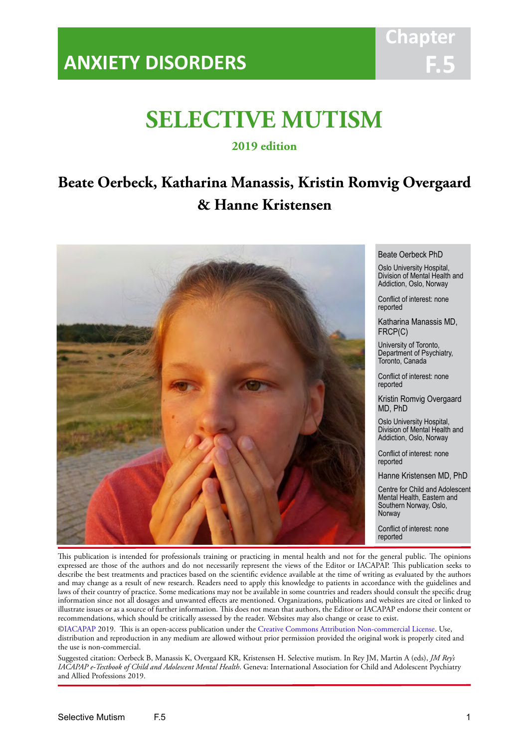## **ANXIETY DISORDERS**



## **SELECTIVE MUTISM**

IACAPAP Textbook of Child and Adolescent Mental Health

**2019 edition**

## **Beate Oerbeck, Katharina Manassis, Kristin Romvig Overgaard & Hanne Kristensen**



Beate Oerbeck PhD

Oslo University Hospital, Division of Mental Health and Addiction, Oslo, Norway

Conflict of interest: none reported

Katharina Manassis MD, FRCP(C)

University of Toronto, Department of Psychiatry, Toronto, Canada

Conflict of interest: none reported

Kristin Romvig Overgaard MD, PhD

Oslo University Hospital, Division of Mental Health and Addiction, Oslo, Norway

Conflict of interest: none reported

Hanne Kristensen MD, PhD

Centre for Child and Adolescent Mental Health, Eastern and Southern Norway, Oslo, Norway

Conflict of interest: none reported

This publication is intended for professionals training or practicing in mental health and not for the general public. The opinions expressed are those of the authors and do not necessarily represent the views of the Editor or IACAPAP. This publication seeks to describe the best treatments and practices based on the scientific evidence available at the time of writing as evaluated by the authors and may change as a result of new research. Readers need to apply this knowledge to patients in accordance with the guidelines and laws of their country of practice. Some medications may not be available in some countries and readers should consult the specific drug information since not all dosages and unwanted effects are mentioned. Organizations, publications and websites are cited or linked to illustrate issues or as a source of further information. This does not mean that authors, the Editor or IACAPAP endorse their content or recommendations, which should be critically assessed by the reader. Websites may also change or cease to exist.

[©IACAPAP](http://iacapap.org/) 2019. This is an open-access publication under the [Creative Commons Attribution Non-commercial License](http://creativecommons.org/licenses/by-nc/2.0/). Use, distribution and reproduction in any medium are allowed without prior permission provided the original work is properly cited and the use is non-commercial.

Suggested citation: Oerbeck B, Manassis K, Overgaard KR, Kristensen H. Selective mutism. In Rey JM, Martin A (eds), *JM Rey's IACAPAP e-Textbook of Child and Adolescent Mental Health*. Geneva: International Association for Child and Adolescent Psychiatry and Allied Professions 2019.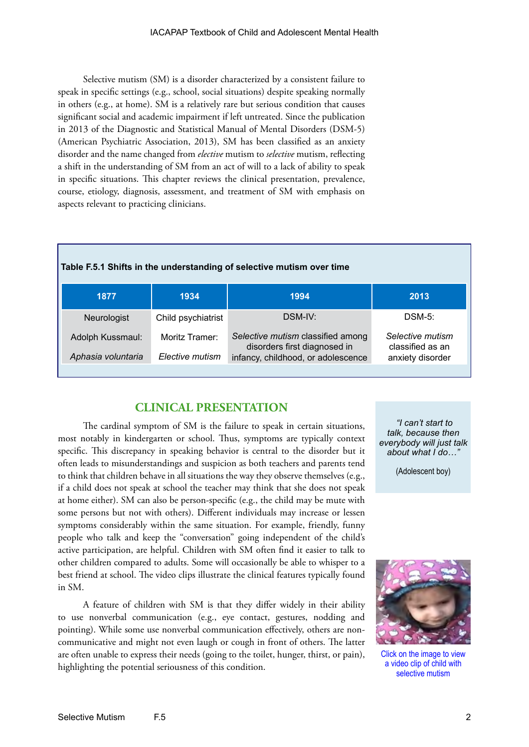Selective mutism (SM) is a disorder characterized by a consistent failure to speak in specific settings (e.g., school, social situations) despite speaking normally in others (e.g., at home). SM is a relatively rare but serious condition that causes significant social and academic impairment if left untreated. Since the publication in 2013 of the Diagnostic and Statistical Manual of Mental Disorders (DSM-5) (American Psychiatric Association, 2013), SM has been classified as an anxiety disorder and the name changed from *elective* mutism to *selective* mutism, reflecting a shift in the understanding of SM from an act of will to a lack of ability to speak in specific situations. This chapter reviews the clinical presentation, prevalence, course, etiology, diagnosis, assessment, and treatment of SM with emphasis on aspects relevant to practicing clinicians.

| Table F.5.1 Shifts in the understanding of selective mutism over time |  |
|-----------------------------------------------------------------------|--|
|-----------------------------------------------------------------------|--|

| 1877                                   | 1934                              | 1994                                                                                                    | 2013                                                     |
|----------------------------------------|-----------------------------------|---------------------------------------------------------------------------------------------------------|----------------------------------------------------------|
| Neurologist                            | Child psychiatrist                | DSM-IV:                                                                                                 | $DSM-5$ :                                                |
| Adolph Kussmaul:<br>Aphasia voluntaria | Moritz Tramer:<br>Elective mutism | Selective mutism classified among<br>disorders first diagnosed in<br>infancy, childhood, or adolescence | Selective mutism<br>classified as an<br>anxiety disorder |

## **CLINICAL PRESENTATION**

The cardinal symptom of SM is the failure to speak in certain situations, most notably in kindergarten or school. Thus, symptoms are typically context specific. This discrepancy in speaking behavior is central to the disorder but it often leads to misunderstandings and suspicion as both teachers and parents tend to think that children behave in all situations the way they observe themselves (e.g., if a child does not speak at school the teacher may think that she does not speak at home either). SM can also be person-specific (e.g., the child may be mute with some persons but not with others). Different individuals may increase or lessen symptoms considerably within the same situation. For example, friendly, funny people who talk and keep the "conversation" going independent of the child's active participation, are helpful. Children with SM often find it easier to talk to other children compared to adults. Some will occasionally be able to whisper to a best friend at school. The video clips illustrate the clinical features typically found in SM.

A feature of children with SM is that they differ widely in their ability to use nonverbal communication (e.g., eye contact, gestures, nodding and pointing). While some use nonverbal communication effectively, others are noncommunicative and might not even laugh or cough in front of others. The latter are often unable to express their needs (going to the toilet, hunger, thirst, or pain), highlighting the potential seriousness of this condition.

 *"I can't start to talk, because then everybody will just talk about what I do…"*

(Adolescent boy)



Click on the image to view a video clip of child with selective mutism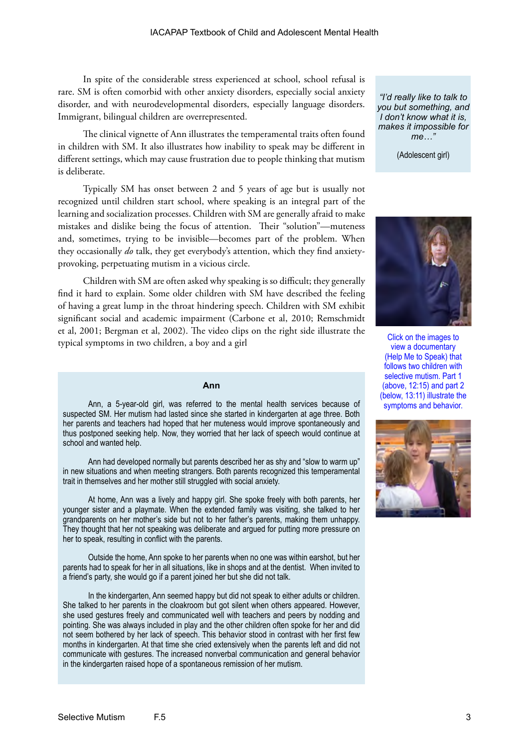In spite of the considerable stress experienced at school, school refusal is rare. SM is often comorbid with other anxiety disorders, especially social anxiety disorder, and with neurodevelopmental disorders, especially language disorders. Immigrant, bilingual children are overrepresented.

The clinical vignette of Ann illustrates the temperamental traits often found in children with SM. It also illustrates how inability to speak may be different in different settings, which may cause frustration due to people thinking that mutism is deliberate.

Typically SM has onset between 2 and 5 years of age but is usually not recognized until children start school, where speaking is an integral part of the learning and socialization processes. Children with SM are generally afraid to make mistakes and dislike being the focus of attention. Their "solution"—muteness and, sometimes, trying to be invisible—becomes part of the problem. When they occasionally *do* talk, they get everybody's attention, which they find anxietyprovoking, perpetuating mutism in a vicious circle.

Children with SM are often asked why speaking is so difficult; they generally find it hard to explain. Some older children with SM have described the feeling of having a great lump in the throat hindering speech. Children with SM exhibit significant social and academic impairment (Carbone et al, 2010; Remschmidt et al, 2001; Bergman et al, 2002). The video clips on the right side illustrate the typical symptoms in two children, a boy and a girl

#### **Ann**

Ann, a 5-year-old girl, was referred to the mental health services because of suspected SM. Her mutism had lasted since she started in kindergarten at age three. Both her parents and teachers had hoped that her muteness would improve spontaneously and thus postponed seeking help. Now, they worried that her lack of speech would continue at school and wanted help.

Ann had developed normally but parents described her as shy and "slow to warm up" in new situations and when meeting strangers. Both parents recognized this temperamental trait in themselves and her mother still struggled with social anxiety.

At home, Ann was a lively and happy girl. She spoke freely with both parents, her younger sister and a playmate. When the extended family was visiting, she talked to her grandparents on her mother's side but not to her father's parents, making them unhappy. They thought that her not speaking was deliberate and argued for putting more pressure on her to speak, resulting in conflict with the parents.

Outside the home, Ann spoke to her parents when no one was within earshot, but her parents had to speak for her in all situations, like in shops and at the dentist. When invited to a friend's party, she would go if a parent joined her but she did not talk.

In the kindergarten, Ann seemed happy but did not speak to either adults or children. She talked to her parents in the cloakroom but got silent when others appeared. However, she used gestures freely and communicated well with teachers and peers by nodding and pointing. She was always included in play and the other children often spoke for her and did not seem bothered by her lack of speech. This behavior stood in contrast with her first few months in kindergarten. At that time she cried extensively when the parents left and did not communicate with gestures. The increased nonverbal communication and general behavior in the kindergarten raised hope of a spontaneous remission of her mutism.

*"I'd really like to talk to you but something, and I don't know what it is, makes it impossible for me…"*

(Adolescent girl)



Click on the images to view a documentary (Help Me to Speak) that follows two children with selective mutism. Part 1 (above, 12:15) and part 2 (below, 13:11) illustrate the symptoms and behavior.

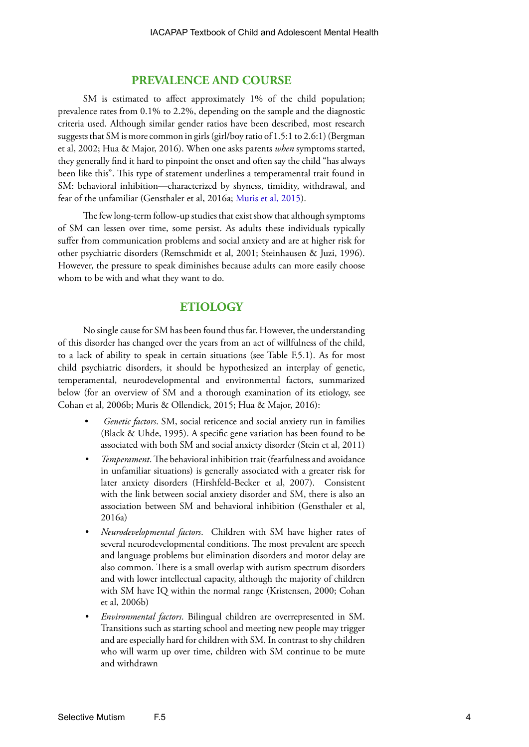## **PREVALENCE AND COURSE**

SM is estimated to affect approximately 1% of the child population; prevalence rates from 0.1% to 2.2%, depending on the sample and the diagnostic criteria used. Although similar gender ratios have been described, most research suggests that SM is more common in girls (girl/boy ratio of 1.5:1 to 2.6:1) (Bergman et al, 2002; Hua & Major, 2016). When one asks parents *when* symptoms started, they generally find it hard to pinpoint the onset and often say the child "has always been like this". This type of statement underlines a temperamental trait found in SM: behavioral inhibition—characterized by shyness, timidity, withdrawal, and fear of the unfamiliar (Gensthaler et al, 2016a; [Muris et al, 2015\)](http://www.ncbi.nlm.nih.gov/pmc/articles/PMC4712224/).

The few long-term follow-up studies that exist show that although symptoms of SM can lessen over time, some persist. As adults these individuals typically suffer from communication problems and social anxiety and are at higher risk for other psychiatric disorders (Remschmidt et al, 2001; Steinhausen & Juzi, 1996). However, the pressure to speak diminishes because adults can more easily choose whom to be with and what they want to do.

## **ETIOLOGY**

No single cause for SM has been found thus far. However, the understanding of this disorder has changed over the years from an act of willfulness of the child, to a lack of ability to speak in certain situations (see Table F.5.1). As for most child psychiatric disorders, it should be hypothesized an interplay of genetic, temperamental, neurodevelopmental and environmental factors, summarized below (for an overview of SM and a thorough examination of its etiology, see Cohan et al, 2006b; Muris & Ollendick, 2015; Hua & Major, 2016):

- *Genetic factors*. SM, social reticence and social anxiety run in families (Black & Uhde, 1995). A specific gene variation has been found to be associated with both SM and social anxiety disorder (Stein et al, 2011)
- *• Temperament*. The behavioral inhibition trait (fearfulness and avoidance in unfamiliar situations) is generally associated with a greater risk for later anxiety disorders (Hirshfeld-Becker et al, 2007). Consistent with the link between social anxiety disorder and SM, there is also an association between SM and behavioral inhibition (Gensthaler et al, 2016a)
- *• Neurodevelopmental factors*. Children with SM have higher rates of several neurodevelopmental conditions. The most prevalent are speech and language problems but elimination disorders and motor delay are also common. There is a small overlap with autism spectrum disorders and with lower intellectual capacity, although the majority of children with SM have IQ within the normal range (Kristensen, 2000; Cohan et al, 2006b)
- *• Environmental factors*. Bilingual children are overrepresented in SM. Transitions such as starting school and meeting new people may trigger and are especially hard for children with SM. In contrast to shy children who will warm up over time, children with SM continue to be mute and withdrawn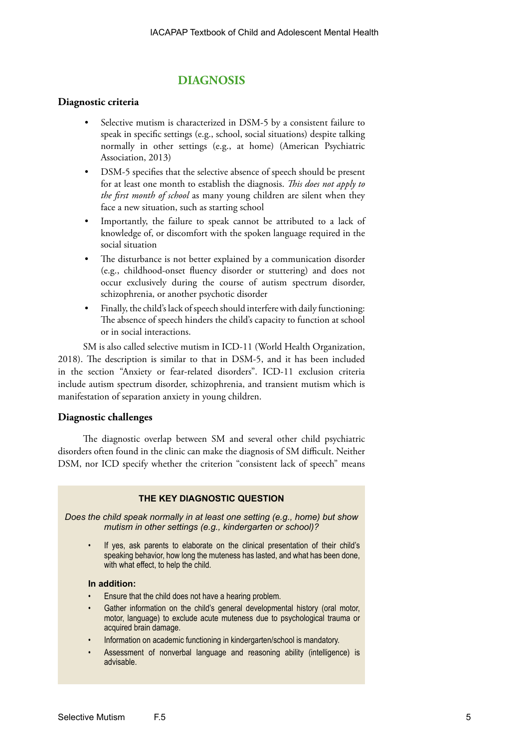## **DIAGNOSIS**

## **Diagnostic criteria**

- Selective mutism is characterized in DSM-5 by a consistent failure to speak in specific settings (e.g., school, social situations) despite talking normally in other settings (e.g., at home) (American Psychiatric Association, 2013)
- DSM-5 specifies that the selective absence of speech should be present for at least one month to establish the diagnosis. *This does not apply to the first month of school* as many young children are silent when they face a new situation, such as starting school
- Importantly, the failure to speak cannot be attributed to a lack of knowledge of, or discomfort with the spoken language required in the social situation
- The disturbance is not better explained by a communication disorder (e.g., childhood-onset fluency disorder or stuttering) and does not occur exclusively during the course of autism spectrum disorder, schizophrenia, or another psychotic disorder
- Finally, the child's lack of speech should interfere with daily functioning: The absence of speech hinders the child's capacity to function at school or in social interactions.

SM is also called selective mutism in ICD-11 (World Health Organization, 2018). The description is similar to that in DSM-5, and it has been included in the section "Anxiety or fear-related disorders". ICD-11 exclusion criteria include autism spectrum disorder, schizophrenia, and transient mutism which is manifestation of separation anxiety in young children.

## **Diagnostic challenges**

The diagnostic overlap between SM and several other child psychiatric disorders often found in the clinic can make the diagnosis of SM difficult. Neither DSM, nor ICD specify whether the criterion "consistent lack of speech" means

## **THE KEY DIAGNOSTIC QUESTION**

*Does the child speak normally in at least one setting (e.g., home) but show mutism in other settings (e.g., kindergarten or school)?* 

If yes, ask parents to elaborate on the clinical presentation of their child's speaking behavior, how long the muteness has lasted, and what has been done, with what effect, to help the child.

## **In addition:**

- Ensure that the child does not have a hearing problem.
- Gather information on the child's general developmental history (oral motor, motor, language) to exclude acute muteness due to psychological trauma or acquired brain damage.
- Information on academic functioning in kindergarten/school is mandatory.
- Assessment of nonverbal language and reasoning ability (intelligence) is advisable.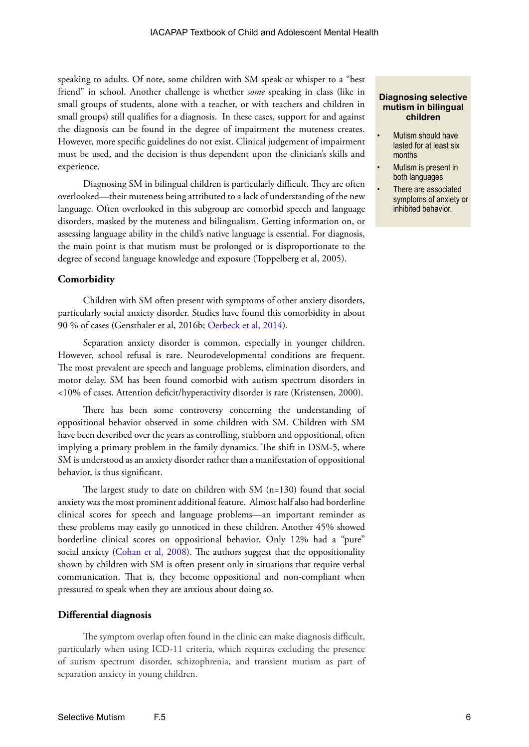speaking to adults. Of note, some children with SM speak or whisper to a "best friend" in school. Another challenge is whether *some* speaking in class (like in small groups of students, alone with a teacher, or with teachers and children in small groups) still qualifies for a diagnosis. In these cases, support for and against the diagnosis can be found in the degree of impairment the muteness creates. However, more specific guidelines do not exist. Clinical judgement of impairment must be used, and the decision is thus dependent upon the clinician's skills and experience.

Diagnosing SM in bilingual children is particularly difficult. They are often overlooked—their muteness being attributed to a lack of understanding of the new language. Often overlooked in this subgroup are comorbid speech and language disorders, masked by the muteness and bilingualism. Getting information on, or assessing language ability in the child's native language is essential. For diagnosis, the main point is that mutism must be prolonged or is disproportionate to the degree of second language knowledge and exposure (Toppelberg et al, 2005).

### **Comorbidity**

Children with SM often present with symptoms of other anxiety disorders, particularly social anxiety disorder. Studies have found this comorbidity in about 90 % of cases (Gensthaler et al, 2016b; [Oerbeck et al, 2014\)](http://onlinelibrary.wiley.com/doi/10.1111/camh.12045/epdf).

Separation anxiety disorder is common, especially in younger children. However, school refusal is rare. Neurodevelopmental conditions are frequent. The most prevalent are speech and language problems, elimination disorders, and motor delay. SM has been found comorbid with autism spectrum disorders in <10% of cases. Attention deficit/hyperactivity disorder is rare (Kristensen, 2000).

There has been some controversy concerning the understanding of oppositional behavior observed in some children with SM. Children with SM have been described over the years as controlling, stubborn and oppositional, often implying a primary problem in the family dynamics. The shift in DSM-5, where SM is understood as an anxiety disorder rather than a manifestation of oppositional behavior, is thus significant.

The largest study to date on children with SM (n=130) found that social anxiety was the most prominent additional feature. Almost half also had borderline clinical scores for speech and language problems—an important reminder as these problems may easily go unnoticed in these children. Another 45% showed borderline clinical scores on oppositional behavior. Only 12% had a "pure" social anxiety ([Cohan et al, 2008\)](http://www.ncbi.nlm.nih.gov/pmc/articles/PMC2925839/). The authors suggest that the oppositionality shown by children with SM is often present only in situations that require verbal communication. That is, they become oppositional and non-compliant when pressured to speak when they are anxious about doing so.

### **Differential diagnosis**

The symptom overlap often found in the clinic can make diagnosis difficult, particularly when using ICD-11 criteria, which requires excluding the presence of autism spectrum disorder, schizophrenia, and transient mutism as part of separation anxiety in young children.

#### **Diagnosing selective mutism in bilingual children**

- Mutism should have lasted for at least six months
- Mutism is present in both languages
- There are associated symptoms of anxiety or inhibited behavior.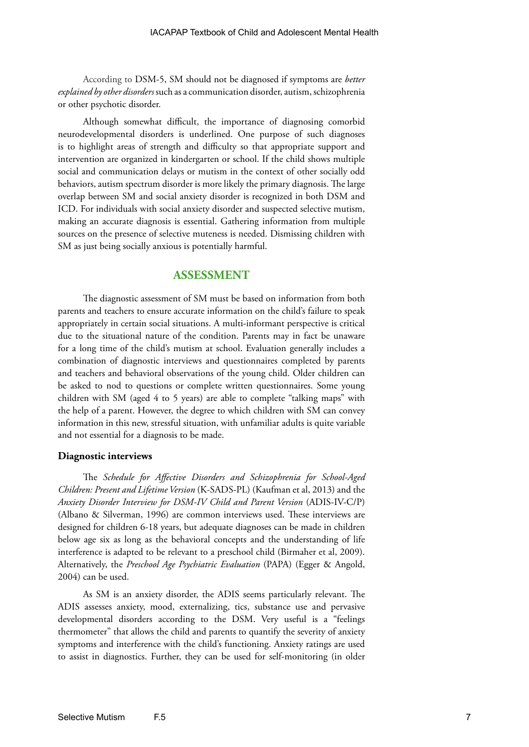According to DSM-5, SM should not be diagnosed if symptoms are *better explained by other disorders* such as a communication disorder, autism, schizophrenia or other psychotic disorder.

Although somewhat difficult, the importance of diagnosing comorbid neurodevelopmental disorders is underlined. One purpose of such diagnoses is to highlight areas of strength and difficulty so that appropriate support and intervention are organized in kindergarten or school. If the child shows multiple social and communication delays or mutism in the context of other socially odd behaviors, autism spectrum disorder is more likely the primary diagnosis. The large overlap between SM and social anxiety disorder is recognized in both DSM and ICD. For individuals with social anxiety disorder and suspected selective mutism, making an accurate diagnosis is essential. Gathering information from multiple sources on the presence of selective muteness is needed. Dismissing children with SM as just being socially anxious is potentially harmful.

## **ASSESSMENT**

The diagnostic assessment of SM must be based on information from both parents and teachers to ensure accurate information on the child's failure to speak appropriately in certain social situations. A multi-informant perspective is critical due to the situational nature of the condition. Parents may in fact be unaware for a long time of the child's mutism at school. Evaluation generally includes a combination of diagnostic interviews and questionnaires completed by parents and teachers and behavioral observations of the young child. Older children can be asked to nod to questions or complete written questionnaires. Some young children with SM (aged 4 to 5 years) are able to complete "talking maps" with the help of a parent. However, the degree to which children with SM can convey information in this new, stressful situation, with unfamiliar adults is quite variable and not essential for a diagnosis to be made.

### **Diagnostic interviews**

The *Schedule for Affective Disorders and Schizophrenia for School-Aged Children: Present and Lifetime Version* (K-SADS-PL) (Kaufman et al, 2013) and the *Anxiety Disorder Interview for DSM-IV Child and Parent Version* (ADIS-IV-C/P) (Albano & Silverman, 1996) are common interviews used. These interviews are designed for children 6-18 years, but adequate diagnoses can be made in children below age six as long as the behavioral concepts and the understanding of life interference is adapted to be relevant to a preschool child (Birmaher et al, 2009). Alternatively, the *Preschool Age Psychiatric Evaluation* (PAPA) (Egger & Angold, 2004) can be used.

As SM is an anxiety disorder, the ADIS seems particularly relevant. The ADIS assesses anxiety, mood, externalizing, tics, substance use and pervasive developmental disorders according to the DSM. Very useful is a "feelings thermometer" that allows the child and parents to quantify the severity of anxiety symptoms and interference with the child's functioning. Anxiety ratings are used to assist in diagnostics. Further, they can be used for self-monitoring (in older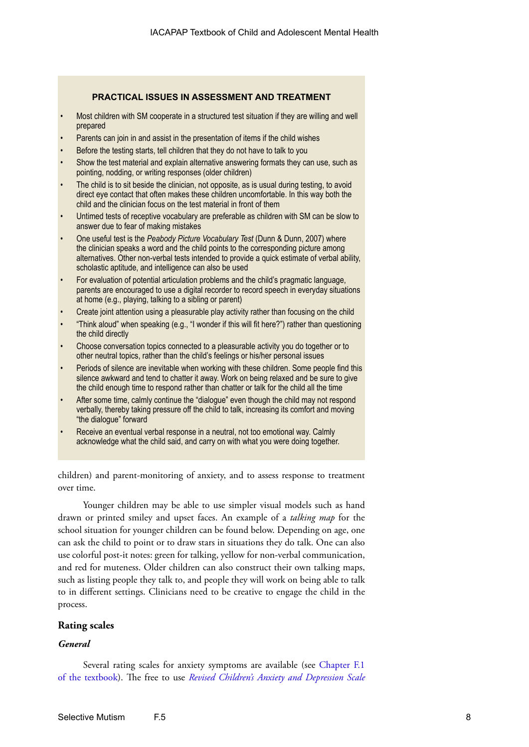## **PRACTICAL ISSUES IN ASSESSMENT AND TREATMENT**

- Most children with SM cooperate in a structured test situation if they are willing and well prepared
- Parents can join in and assist in the presentation of items if the child wishes
- Before the testing starts, tell children that they do not have to talk to you
- Show the test material and explain alternative answering formats they can use, such as pointing, nodding, or writing responses (older children)
- The child is to sit beside the clinician, not opposite, as is usual during testing, to avoid direct eye contact that often makes these children uncomfortable. In this way both the child and the clinician focus on the test material in front of them
- Untimed tests of receptive vocabulary are preferable as children with SM can be slow to answer due to fear of making mistakes
- One useful test is the *Peabody Picture Vocabulary Test* (Dunn & Dunn, 2007) where the clinician speaks a word and the child points to the corresponding picture among alternatives. Other non-verbal tests intended to provide a quick estimate of verbal ability, scholastic aptitude, and intelligence can also be used
- For evaluation of potential articulation problems and the child's pragmatic language, parents are encouraged to use a digital recorder to record speech in everyday situations at home (e.g., playing, talking to a sibling or parent)
- Create joint attention using a pleasurable play activity rather than focusing on the child
- "Think aloud" when speaking (e.g., "I wonder if this will fit here?") rather than questioning the child directly
- Choose conversation topics connected to a pleasurable activity you do together or to other neutral topics, rather than the child's feelings or his/her personal issues
- Periods of silence are inevitable when working with these children. Some people find this silence awkward and tend to chatter it away. Work on being relaxed and be sure to give the child enough time to respond rather than chatter or talk for the child all the time
- After some time, calmly continue the "dialogue" even though the child may not respond verbally, thereby taking pressure off the child to talk, increasing its comfort and moving "the dialogue" forward
- Receive an eventual verbal response in a neutral, not too emotional way. Calmly acknowledge what the child said, and carry on with what you were doing together.

children) and parent-monitoring of anxiety, and to assess response to treatment over time.

Younger children may be able to use simpler visual models such as hand drawn or printed smiley and upset faces. An example of a *talking map* for the school situation for younger children can be found below. Depending on age, one can ask the child to point or to draw stars in situations they do talk. One can also use colorful post-it notes: green for talking, yellow for non-verbal communication, and red for muteness. Older children can also construct their own talking maps, such as listing people they talk to, and people they will work on being able to talk to in different settings. Clinicians need to be creative to engage the child in the process.

## **Rating scales**

## *General*

Several rating scales for anxiety symptoms are available (see C[hapter F.1](http://iacapap.org/wp-content/uploads/F.1-ANXIETY-DISORDERS-072012.pdf)  [of the textbook](http://iacapap.org/wp-content/uploads/F.1-ANXIETY-DISORDERS-072012.pdf)). The free to use *[Revised Children's Anxiety and Depression Scale](http://www.childfirst.ucla.edu/Resources.html)*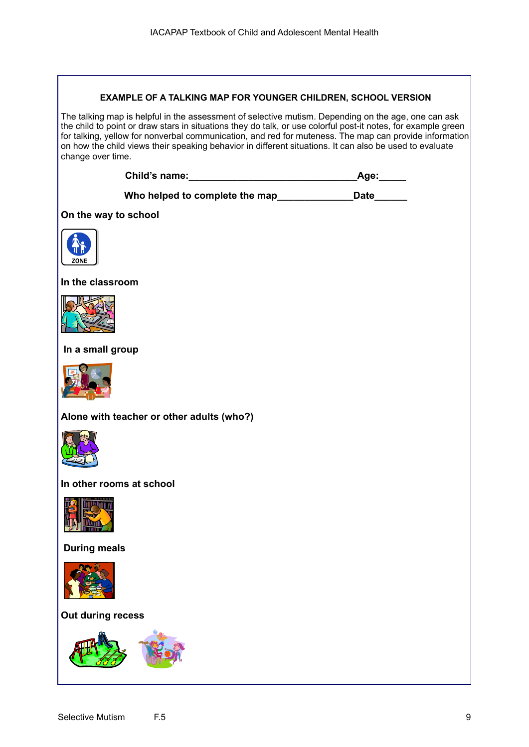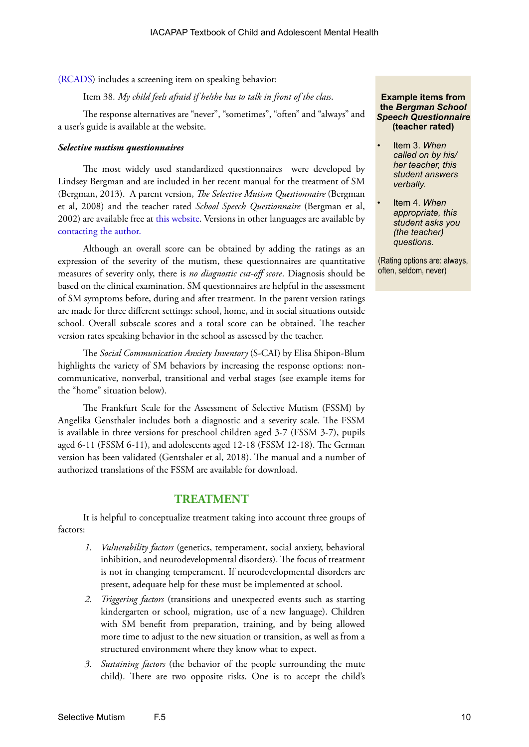[\(RCADS\)](http://www.childfirst.ucla.edu/Resources.html) includes a screening item on speaking behavior:

Item 38*. My child feels afraid if he/she has to talk in front of the class*.

The response alternatives are "never", "sometimes", "often" and "always" and a user's guide is available at the website.

#### *Selective mutism questionnaires*

The most widely used standardized questionnaires were developed by Lindsey Bergman and are included in her recent manual for the treatment of SM (Bergman, 2013). A parent version, *The Selective Mutism Questionnaire* (Bergman et al, 2008) and the teacher rated *School Speech Questionnaire* (Bergman et al, 2002) are available free at [this website](http://www.oxfordclinicalpsych.com/view/10.1093/med:psych/9780195391527.001.0001/med-9780195391527-appendix-10). Versions in other languages are available by [contacting the author](mailto:lbergman@mednet.ucla.edu).

Although an overall score can be obtained by adding the ratings as an expression of the severity of the mutism, these questionnaires are quantitative measures of severity only, there is *no diagnostic cut-off score*. Diagnosis should be based on the clinical examination. SM questionnaires are helpful in the assessment of SM symptoms before, during and after treatment. In the parent version ratings are made for three different settings: school, home, and in social situations outside school. Overall subscale scores and a total score can be obtained. The teacher version rates speaking behavior in the school as assessed by the teacher.

The *Social Communication Anxiety Inventory* (S-CAI) by Elisa Shipon-Blum highlights the variety of SM behaviors by increasing the response options: noncommunicative, nonverbal, transitional and verbal stages (see example items for the "home" situation below).

The Frankfurt Scale for the Assessment of Selective Mutism (FSSM) by Angelika Gensthaler includes both a diagnostic and a severity scale. The FSSM is available in three versions for preschool children aged 3-7 (FSSM 3-7), pupils aged 6-11 (FSSM 6-11), and adolescents aged 12-18 (FSSM 12-18). The German version has been validated (Gentshaler et al, 2018). The manual and a number of authorized translations of the FSSM are available for download.

## **TREATMENT**

It is helpful to conceptualize treatment taking into account three groups of factors:

- *1. Vulnerability factors* (genetics, temperament, social anxiety, behavioral inhibition, and neurodevelopmental disorders). The focus of treatment is not in changing temperament. If neurodevelopmental disorders are present, adequate help for these must be implemented at school.
- *2. Triggering factors* (transitions and unexpected events such as starting kindergarten or school, migration, use of a new language). Children with SM benefit from preparation, training, and by being allowed more time to adjust to the new situation or transition, as well as from a structured environment where they know what to expect.
- *3. Sustaining factors* (the behavior of the people surrounding the mute child). There are two opposite risks. One is to accept the child's

#### **Example items from the** *Bergman School Speech Questionnaire*  **(teacher rated)**

- Item 3. *When called on by his/ her teacher, this student answers verbally.*
- Item 4. *When appropriate, this student asks you (the teacher) questions.*

(Rating options are: always, often, seldom, never)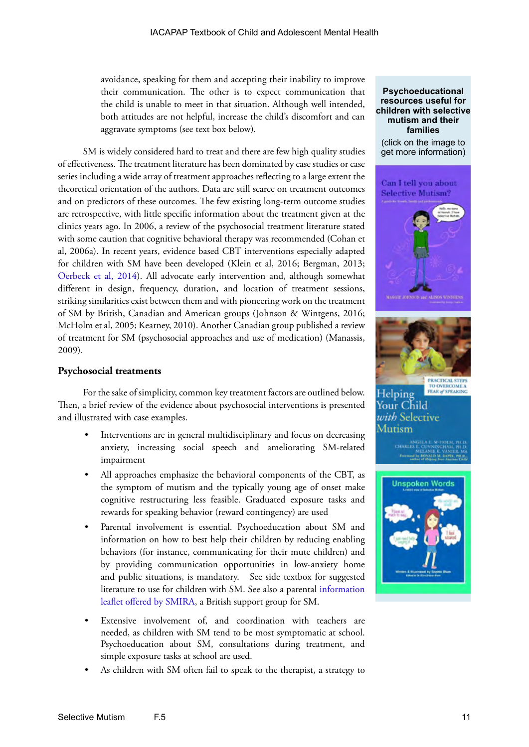avoidance, speaking for them and accepting their inability to improve their communication. The other is to expect communication that the child is unable to meet in that situation. Although well intended, both attitudes are not helpful, increase the child's discomfort and can aggravate symptoms (see text box below)*.*

SM is widely considered hard to treat and there are few high quality studies of effectiveness. The treatment literature has been dominated by case studies or case series including a wide array of treatment approaches reflecting to a large extent the theoretical orientation of the authors. Data are still scarce on treatment outcomes and on predictors of these outcomes. The few existing long-term outcome studies are retrospective, with little specific information about the treatment given at the clinics years ago. In 2006, a review of the psychosocial treatment literature stated with some caution that cognitive behavioral therapy was recommended (Cohan et al, 2006a). In recent years, evidence based CBT interventions especially adapted for children with SM have been developed (Klein et al, 2016; Bergman, 2013; [Oerbeck et al, 2014](http://onlinelibrary.wiley.com/doi/10.1111/camh.12045/epdf)). All advocate early intervention and, although somewhat different in design, frequency, duration, and location of treatment sessions, striking similarities exist between them and with pioneering work on the treatment of SM by British, Canadian and American groups (Johnson & Wintgens, 2016; McHolm et al, 2005; Kearney, 2010). Another Canadian group published a review of treatment for SM (psychosocial approaches and use of medication) (Manassis, 2009).

## **Psychosocial treatments**

For the sake of simplicity, common key treatment factors are outlined below. Then, a brief review of the evidence about psychosocial interventions is presented and illustrated with case examples.

- Interventions are in general multidisciplinary and focus on decreasing anxiety, increasing social speech and ameliorating SM-related impairment
- All approaches emphasize the behavioral components of the CBT, as the symptom of mutism and the typically young age of onset make cognitive restructuring less feasible. Graduated exposure tasks and rewards for speaking behavior (reward contingency) are used
- Parental involvement is essential. Psychoeducation about SM and information on how to best help their children by reducing enabling behaviors (for instance, communicating for their mute children) and by providing communication opportunities in low-anxiety home and public situations, is mandatory. See side textbox for suggested literature to use for children with SM. See also a parental [information](http://smira.org.uk/wp-content/uploads/2015/10/Selective-Mutism-Parents-Leaflet.pdf)  [leaflet offered by SMIRA](http://smira.org.uk/wp-content/uploads/2015/10/Selective-Mutism-Parents-Leaflet.pdf), a British support group for SM.
- Extensive involvement of, and coordination with teachers are needed, as children with SM tend to be most symptomatic at school. Psychoeducation about SM, consultations during treatment, and simple exposure tasks at school are used.
- As children with SM often fail to speak to the therapist, a strategy to

### **Psychoeducational resources useful for children with selective mutism and their families**

(click on the image to get more information)





## Helping Your Child with Selective Mutism

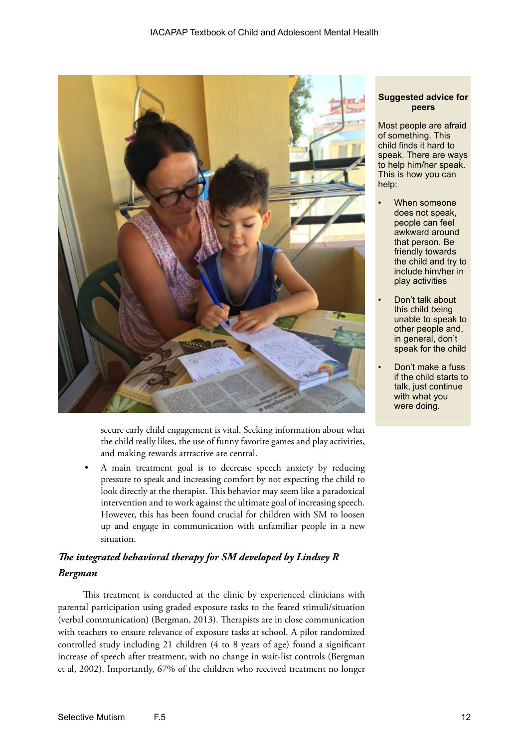

secure early child engagement is vital. Seeking information about what the child really likes, the use of funny favorite games and play activities, and making rewards attractive are central.

• A main treatment goal is to decrease speech anxiety by reducing pressure to speak and increasing comfort by not expecting the child to look directly at the therapist. This behavior may seem like a paradoxical intervention and to work against the ultimate goal of increasing speech. However, this has been found crucial for children with SM to loosen up and engage in communication with unfamiliar people in a new situation.

## *The integrated behavioral therapy for SM developed by Lindsey R Bergman*

This treatment is conducted at the clinic by experienced clinicians with parental participation using graded exposure tasks to the feared stimuli/situation (verbal communication) (Bergman, 2013). Therapists are in close communication with teachers to ensure relevance of exposure tasks at school. A pilot randomized controlled study including 21 children (4 to 8 years of age) found a significant increase of speech after treatment, with no change in wait-list controls (Bergman et al, 2002). Importantly, 67% of the children who received treatment no longer

## **Suggested advice for peers**

Most people are afraid of something. This child finds it hard to speak. There are ways to help him/her speak. This is how you can help:

- When someone does not speak, people can feel awkward around that person. Be friendly towards the child and try to include him/her in play activities
- Don't talk about this child being unable to speak to other people and, in general, don't speak for the child
- Don't make a fuss if the child starts to talk, just continue with what you were doing.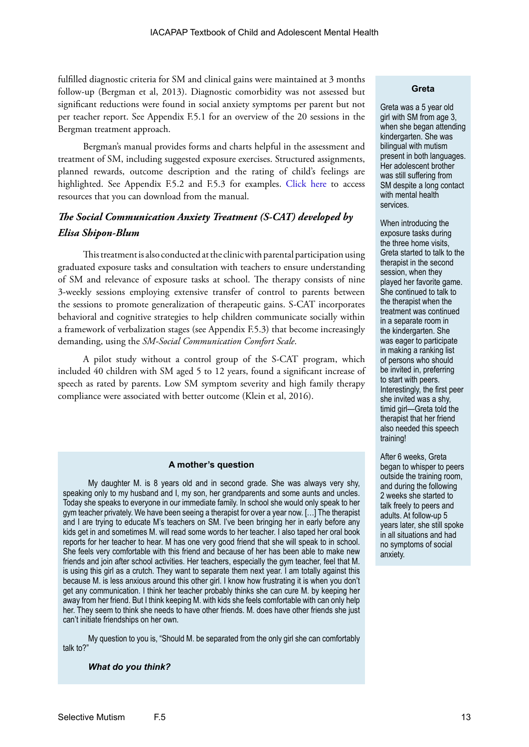fulfilled diagnostic criteria for SM and clinical gains were maintained at 3 months follow-up (Bergman et al, 2013). Diagnostic comorbidity was not assessed but significant reductions were found in social anxiety symptoms per parent but not per teacher report. See Appendix F.5.1 for an overview of the 20 sessions in the Bergman treatment approach.

Bergman's manual provides forms and charts helpful in the assessment and treatment of SM, including suggested exposure exercises. Structured assignments, planned rewards, outcome description and the rating of child's feelings are highlighted. See Appendix F.5.2 and F.5.3 for examples. [Click here](http://www.oxfordclinicalpsych.com/view/10.1093/med:psych/9780195391527.001.0001/med-9780195391527-appendix-10) to access resources that you can download from the manual.

## *The Social Communication Anxiety Treatment (S-CAT) developed by Elisa Shipon-Blum*

This treatment is also conducted at the clinic with parental participation using graduated exposure tasks and consultation with teachers to ensure understanding of SM and relevance of exposure tasks at school. The therapy consists of nine 3-weekly sessions employing extensive transfer of control to parents between the sessions to promote generalization of therapeutic gains. S-CAT incorporates behavioral and cognitive strategies to help children communicate socially within a framework of verbalization stages (see Appendix F.5.3) that become increasingly demanding, using the *SM-Social Communication Comfort Scale*.

A pilot study without a control group of the S-CAT program, which included 40 children with SM aged 5 to 12 years, found a significant increase of speech as rated by parents. Low SM symptom severity and high family therapy compliance were associated with better outcome (Klein et al, 2016).

#### **A mother's question**

My daughter M. is 8 years old and in second grade. She was always very shy, speaking only to my husband and I, my son, her grandparents and some aunts and uncles. Today she speaks to everyone in our immediate family. In school she would only speak to her gym teacher privately. We have been seeing a therapist for over a year now. […] The therapist and I are trying to educate M's teachers on SM. I've been bringing her in early before any kids get in and sometimes M. will read some words to her teacher. I also taped her oral book reports for her teacher to hear. M has one very good friend that she will speak to in school. She feels very comfortable with this friend and because of her has been able to make new friends and join after school activities. Her teachers, especially the gym teacher, feel that M. is using this girl as a crutch. They want to separate them next year. I am totally against this because M. is less anxious around this other girl. I know how frustrating it is when you don't get any communication. I think her teacher probably thinks she can cure M. by keeping her away from her friend. But I think keeping M. with kids she feels comfortable with can only help her. They seem to think she needs to have other friends. M. does have other friends she just can't initiate friendships on her own.

My question to you is, "Should M. be separated from the only girl she can comfortably talk to?"

#### *What do you think?*

## **Greta**

Greta was a 5 year old girl with SM from age 3, when she began attending kindergarten. She was bilingual with mutism present in both languages. Her adolescent brother was still suffering from SM despite a long contact with mental health services.

When introducing the exposure tasks during the three home visits, Greta started to talk to the therapist in the second session, when they played her favorite game. She continued to talk to the therapist when the treatment was continued in a separate room in the kindergarten. She was eager to participate in making a ranking list of persons who should be invited in, preferring to start with peers. Interestingly, the first peer she invited was a shy, timid girl—Greta told the therapist that her friend also needed this speech training!

After 6 weeks, Greta began to whisper to peers outside the training room, and during the following 2 weeks she started to talk freely to peers and adults. At follow-up 5 years later, she still spoke in all situations and had no symptoms of social anxiety.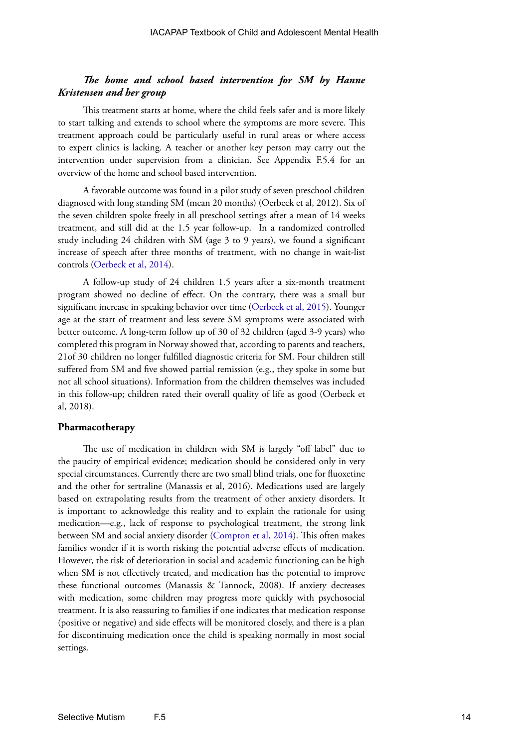## *The home and school based intervention for SM by Hanne Kristensen and her group*

This treatment starts at home, where the child feels safer and is more likely to start talking and extends to school where the symptoms are more severe. This treatment approach could be particularly useful in rural areas or where access to expert clinics is lacking. A teacher or another key person may carry out the intervention under supervision from a clinician. See Appendix F.5.4 for an overview of the home and school based intervention.

A favorable outcome was found in a pilot study of seven preschool children diagnosed with long standing SM (mean 20 months) (Oerbeck et al, 2012). Six of the seven children spoke freely in all preschool settings after a mean of 14 weeks treatment, and still did at the 1.5 year follow-up. In a randomized controlled study including 24 children with SM (age 3 to 9 years), we found a significant increase of speech after three months of treatment, with no change in wait-list controls ([Oerbeck et al, 2014\)](http://onlinelibrary.wiley.com/doi/10.1111/camh.12045/epdf).

A follow-up study of 24 children 1.5 years after a six-month treatment program showed no decline of effect. On the contrary, there was a small but significant increase in speaking behavior over time [\(Oerbeck et al, 2015](http://www.ncbi.nlm.nih.gov/pmc/articles/PMC4490179/)). Younger age at the start of treatment and less severe SM symptoms were associated with better outcome. A long-term follow up of 30 of 32 children (aged 3-9 years) who completed this program in Norway showed that, according to parents and teachers, 21of 30 children no longer fulfilled diagnostic criteria for SM. Four children still suffered from SM and five showed partial remission (e.g., they spoke in some but not all school situations). Information from the children themselves was included in this follow-up; children rated their overall quality of life as good (Oerbeck et al, 2018).

### **Pharmacotherapy**

The use of medication in children with SM is largely "off label" due to the paucity of empirical evidence; medication should be considered only in very special circumstances. Currently there are two small blind trials, one for fluoxetine and the other for sertraline (Manassis et al, 2016). Medications used are largely based on extrapolating results from the treatment of other anxiety disorders. It is important to acknowledge this reality and to explain the rationale for using medication—e.g., lack of response to psychological treatment, the strong link between SM and social anxiety disorder ([Compton et al, 2014\)](file:http://www.ncbi.nlm.nih.gov/pmc/articles/PMC4056442/). This often makes families wonder if it is worth risking the potential adverse effects of medication. However, the risk of deterioration in social and academic functioning can be high when SM is not effectively treated, and medication has the potential to improve these functional outcomes (Manassis & Tannock, 2008). If anxiety decreases with medication, some children may progress more quickly with psychosocial treatment. It is also reassuring to families if one indicates that medication response (positive or negative) and side effects will be monitored closely, and there is a plan for discontinuing medication once the child is speaking normally in most social settings.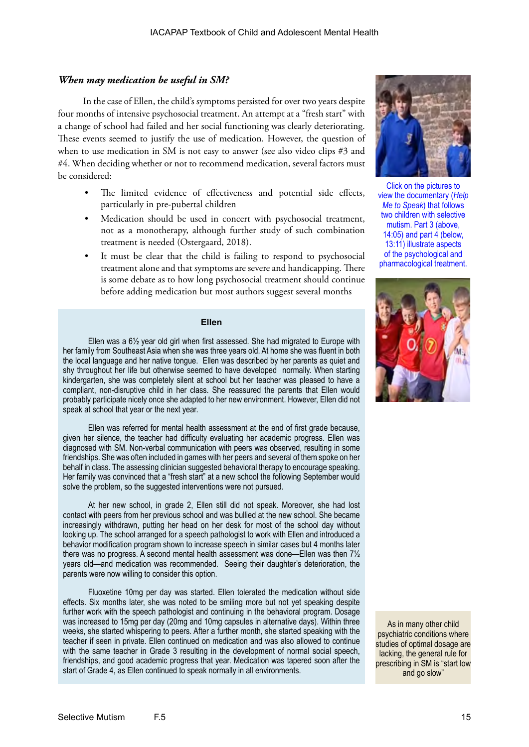## *When may medication be useful in SM?*

In the case of Ellen, the child's symptoms persisted for over two years despite four months of intensive psychosocial treatment. An attempt at a "fresh start" with a change of school had failed and her social functioning was clearly deteriorating. These events seemed to justify the use of medication. However, the question of when to use medication in SM is not easy to answer (see also video clips #3 and #4. When deciding whether or not to recommend medication, several factors must be considered:

- The limited evidence of effectiveness and potential side effects, particularly in pre-pubertal children
- Medication should be used in concert with psychosocial treatment, not as a monotherapy, although further study of such combination treatment is needed (Ostergaard, 2018).
- It must be clear that the child is failing to respond to psychosocial treatment alone and that symptoms are severe and handicapping. There is some debate as to how long psychosocial treatment should continue before adding medication but most authors suggest several months

## **Ellen**

Ellen was a 6½ year old girl when first assessed. She had migrated to Europe with her family from Southeast Asia when she was three years old. At home she was fluent in both the local language and her native tongue. Ellen was described by her parents as quiet and shy throughout her life but otherwise seemed to have developed normally. When starting kindergarten, she was completely silent at school but her teacher was pleased to have a compliant, non-disruptive child in her class. She reassured the parents that Ellen would probably participate nicely once she adapted to her new environment. However, Ellen did not speak at school that year or the next year.

Ellen was referred for mental health assessment at the end of first grade because, given her silence, the teacher had difficulty evaluating her academic progress. Ellen was diagnosed with SM. Non-verbal communication with peers was observed, resulting in some friendships. She was often included in games with her peers and several of them spoke on her behalf in class. The assessing clinician suggested behavioral therapy to encourage speaking. Her family was convinced that a "fresh start" at a new school the following September would solve the problem, so the suggested interventions were not pursued.

At her new school, in grade 2, Ellen still did not speak. Moreover, she had lost contact with peers from her previous school and was bullied at the new school. She became increasingly withdrawn, putting her head on her desk for most of the school day without looking up. The school arranged for a speech pathologist to work with Ellen and introduced a behavior modification program shown to increase speech in similar cases but 4 months later there was no progress. A second mental health assessment was done—Ellen was then 7½ years old—and medication was recommended. Seeing their daughter's deterioration, the parents were now willing to consider this option.

Fluoxetine 10mg per day was started. Ellen tolerated the medication without side effects. Six months later, she was noted to be smiling more but not yet speaking despite further work with the speech pathologist and continuing in the behavioral program. Dosage was increased to 15mg per day (20mg and 10mg capsules in alternative days). Within three weeks, she started whispering to peers. After a further month, she started speaking with the teacher if seen in private. Ellen continued on medication and was also allowed to continue with the same teacher in Grade 3 resulting in the development of normal social speech, friendships, and good academic progress that year. Medication was tapered soon after the start of Grade 4, as Ellen continued to speak normally in all environments.



Click on the pictures to view the documentary (*Help Me to Speak*) that follows two children with selective mutism. Part 3 (above, 14:05) and part 4 (below, 13:11) illustrate aspects of the psychological and pharmacological treatment.



As in many other child psychiatric conditions where studies of optimal dosage are lacking, the general rule for prescribing in SM is "start low and go slow"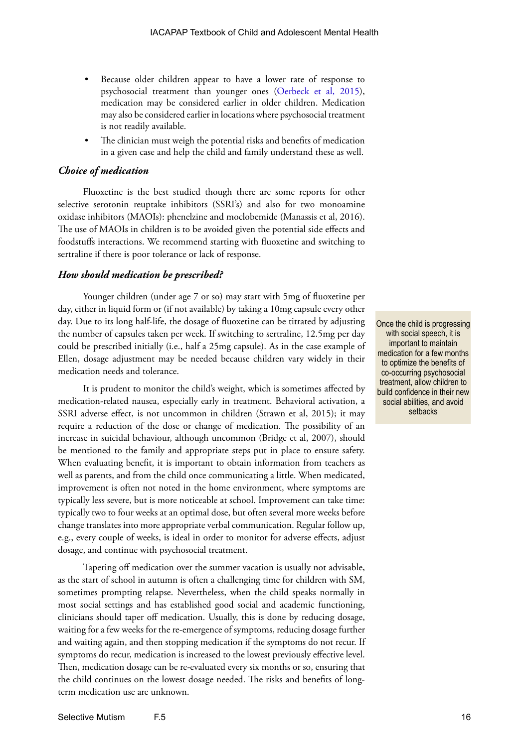- Because older children appear to have a lower rate of response to psychosocial treatment than younger ones ([Oerbeck et al, 2015\)](http://www.ncbi.nlm.nih.gov/pmc/articles/PMC4490179/), medication may be considered earlier in older children. Medication may also be considered earlier in locations where psychosocial treatment is not readily available.
- The clinician must weigh the potential risks and benefits of medication in a given case and help the child and family understand these as well.

## *Choice of medication*

Fluoxetine is the best studied though there are some reports for other selective serotonin reuptake inhibitors (SSRI's) and also for two monoamine oxidase inhibitors (MAOIs): phenelzine and moclobemide (Manassis et al, 2016). The use of MAOIs in children is to be avoided given the potential side effects and foodstuffs interactions. We recommend starting with fluoxetine and switching to sertraline if there is poor tolerance or lack of response.

## *How should medication be prescribed?*

Younger children (under age 7 or so) may start with 5mg of fluoxetine per day, either in liquid form or (if not available) by taking a 10mg capsule every other day. Due to its long half-life, the dosage of fluoxetine can be titrated by adjusting the number of capsules taken per week. If switching to sertraline, 12.5mg per day could be prescribed initially (i.e., half a 25mg capsule). As in the case example of Ellen, dosage adjustment may be needed because children vary widely in their medication needs and tolerance.

It is prudent to monitor the child's weight, which is sometimes affected by medication-related nausea, especially early in treatment. Behavioral activation, a SSRI adverse effect, is not uncommon in children (Strawn et al, 2015); it may require a reduction of the dose or change of medication. The possibility of an increase in suicidal behaviour, although uncommon (Bridge et al, 2007), should be mentioned to the family and appropriate steps put in place to ensure safety. When evaluating benefit, it is important to obtain information from teachers as well as parents, and from the child once communicating a little. When medicated, improvement is often not noted in the home environment, where symptoms are typically less severe, but is more noticeable at school. Improvement can take time: typically two to four weeks at an optimal dose, but often several more weeks before change translates into more appropriate verbal communication. Regular follow up, e.g., every couple of weeks, is ideal in order to monitor for adverse effects, adjust dosage, and continue with psychosocial treatment.

Tapering off medication over the summer vacation is usually not advisable, as the start of school in autumn is often a challenging time for children with SM, sometimes prompting relapse. Nevertheless, when the child speaks normally in most social settings and has established good social and academic functioning, clinicians should taper off medication. Usually, this is done by reducing dosage, waiting for a few weeks for the re-emergence of symptoms, reducing dosage further and waiting again, and then stopping medication if the symptoms do not recur. If symptoms do recur, medication is increased to the lowest previously effective level. Then, medication dosage can be re-evaluated every six months or so, ensuring that the child continues on the lowest dosage needed. The risks and benefits of longterm medication use are unknown.

Once the child is progressing with social speech, it is important to maintain medication for a few months to optimize the benefits of co-occurring psychosocial treatment, allow children to build confidence in their new social abilities, and avoid setbacks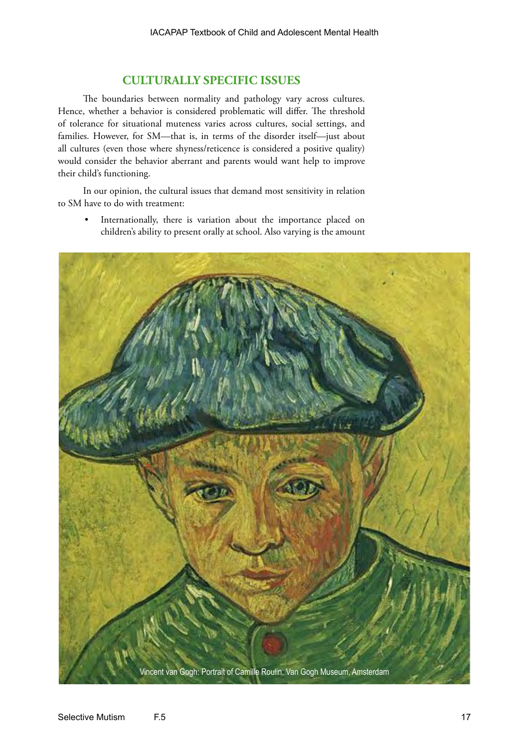## **CULTURALLY SPECIFIC ISSUES**

The boundaries between normality and pathology vary across cultures. Hence, whether a behavior is considered problematic will differ. The threshold of tolerance for situational muteness varies across cultures, social settings, and families. However, for SM—that is, in terms of the disorder itself—just about all cultures (even those where shyness/reticence is considered a positive quality) would consider the behavior aberrant and parents would want help to improve their child's functioning.

In our opinion, the cultural issues that demand most sensitivity in relation to SM have to do with treatment:

• Internationally, there is variation about the importance placed on children's ability to present orally at school. Also varying is the amount

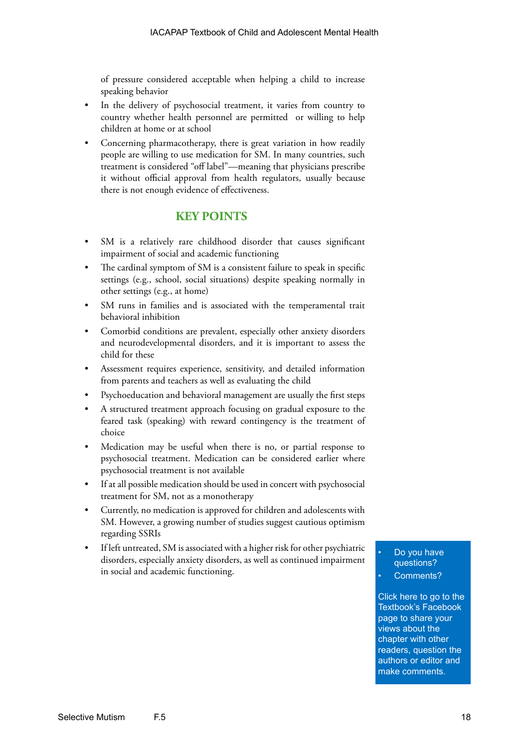of pressure considered acceptable when helping a child to increase speaking behavior

- In the delivery of psychosocial treatment, it varies from country to country whether health personnel are permitted or willing to help children at home or at school
- Concerning pharmacotherapy, there is great variation in how readily people are willing to use medication for SM. In many countries, such treatment is considered "off label"—meaning that physicians prescribe it without official approval from health regulators, usually because there is not enough evidence of effectiveness.

## **KEY POINTS**

- SM is a relatively rare childhood disorder that causes significant impairment of social and academic functioning
- The cardinal symptom of SM is a consistent failure to speak in specific settings (e.g., school, social situations) despite speaking normally in other settings (e.g., at home)
- SM runs in families and is associated with the temperamental trait behavioral inhibition
- Comorbid conditions are prevalent, especially other anxiety disorders and neurodevelopmental disorders, and it is important to assess the child for these
- Assessment requires experience, sensitivity, and detailed information from parents and teachers as well as evaluating the child
- Psychoeducation and behavioral management are usually the first steps
- A structured treatment approach focusing on gradual exposure to the feared task (speaking) with reward contingency is the treatment of choice
- Medication may be useful when there is no, or partial response to psychosocial treatment. Medication can be considered earlier where psychosocial treatment is not available
- If at all possible medication should be used in concert with psychosocial treatment for SM, not as a monotherapy
- Currently, no medication is approved for children and adolescents with SM. However, a growing number of studies suggest cautious optimism regarding SSRIs
- If left untreated, SM is associated with a higher risk for other psychiatric disorders, especially anxiety disorders, as well as continued impairment in social and academic functioning.

Do you have questions?

Comments?

[Click here to go to the](https://www.facebook.com/pages/IACAPAP-Textbook-of-Child-and-Adolescent-Mental-Health/249690448525378)  Textbook's Facebook page to share your views about the chapter with other readers, question the authors or editor and make comments.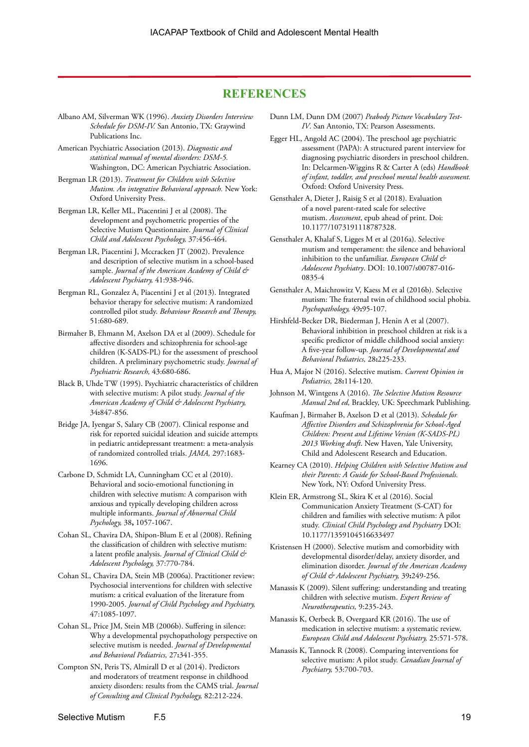## **REFERENCES**

- Albano AM, Silverman WK (1996). *Anxiety Disorders Interview Schedule for DSM-IV.* San Antonio, TX: Graywind Publications Inc.
- American Psychiatric Association (2013). *Diagnostic and statistical manual of mental disorders: DSM-5.*  Washington, DC: American Psychiatric Association.
- Bergman LR (2013). *Treatment for Children with Selective Mutism. An integrative Behavioral approach.* New York: Oxford University Press.
- Bergman LR, Keller ML, Piacentini J et al (2008). The development and psychometric properties of the Selective Mutism Questionnaire. *Journal of Clinical Child and Adolescent Psychology,* 37:456-464.
- Bergman LR, Piacentini J, Mccracken JT (2002). Prevalence and description of selective mutism in a school-based sample. *Journal of the American Academy of Child & Adolescent Psychiatry,* 41:938-946.
- Bergman RL, Gonzalez A, Piacentini J et al (2013). Integrated behavior therapy for selective mutism: A randomized controlled pilot study. *Behaviour Research and Therapy,* 51:680-689.
- Birmaher B, Ehmann M, Axelson DA et al (2009). Schedule for affective disorders and schizophrenia for school-age children (K-SADS-PL) for the assessment of preschool children. A preliminary psychometric study. *Journal of Psychiatric Research,* 43:680-686.
- Black B, Uhde TW (1995). Psychiatric characteristics of children with selective mutism: A pilot study. *Journal of the American Academy of Child & Adolescent Psychiatry,* 34**:**847-856.
- Bridge JA, Iyengar S, Salary CB (2007). Clinical response and risk for reported suicidal ideation and suicide attempts in pediatric antidepressant treatment: a meta-analysis of randomized controlled trials. *JAMA,* 297:1683- 1696.
- Carbone D, Schmidt LA, Cunningham CC et al (2010). Behavioral and socio-emotional functioning in children with selective mutism: A comparison with anxious and typically developing children across multiple informants. *Journal of Abnormal Child Psychology,* 38**,** 1057-1067.
- Cohan SL, Chavira DA, Shipon-Blum E et al (2008). Refining the classification of children with selective mutism: a latent profile analysis. *Journal of Clinical Child & Adolescent Psychology,* 37:770-784.
- Cohan SL, Chavira DA, Stein MB (2006a). Practitioner review: Psychosocial interventions for children with selective mutism: a critical evaluation of the literature from 1990-2005. *Journal of Child Psychology and Psychiatry,* 47:1085-1097.
- Cohan SL, Price JM, Stein MB (2006b). Suffering in silence: Why a developmental psychopathology perspective on selective mutism is needed. *Journal of Developmental and Behavioral Pediatrics,* 27**:**341-355.
- Compton SN, Peris TS, Almirall D et al (2014). Predictors and moderators of treatment response in childhood anxiety disorders: results from the CAMS trial. *Journal of Consulting and Clinical Psychology,* 82:212-224.
- Dunn LM, Dunn DM (2007) *Peabody Picture Vocabulary Test-IV*. San Antonio, TX: Pearson Assessments.
- Egger HL, Angold AC (2004). The preschool age psychiatric assessment (PAPA): A structured parent interview for diagnosing psychiatric disorders in preschool children. In: Delcarmen-Wiggins R & Carter A (eds) *Handbook of infant, toddler, and preschool mental health assessment.* Oxford: Oxford University Press.
- Gensthaler A, Dieter J, Raisig S et al (2018). Evaluation of a novel parent-rated scale for selective mutism. *Assessment*, epub ahead of print. Doi: 10.1177/1073191118787328.
- Gensthaler A, Khalaf S, Ligges M et al (2016a). Selective mutism and temperament: the silence and behavioral inhibition to the unfamiliar. *European Child & Adolescent Psychiatry*. DOI: 10.1007/s00787-016- 0835-4
- Gensthaler A, Maichrowitz V, Kaess M et al (2016b). Selective mutism: The fraternal twin of childhood social phobia. *Psychopathology,* 49**:**95-107.
- Hirshfeld-Becker DR, Biederman J, Henin A et al (2007). Behavioral inhibition in preschool children at risk is a specific predictor of middle childhood social anxiety: A five-year follow-up. *Journal of Developmental and Behavioral Pediatrics,* 28**:**225-233.
- Hua A, Major N (2016). Selective mutism. *Current Opinion in Pediatrics,* 28**:**114-120.
- Johnson M, Wintgens A (2016). *The Selective Mutism Resource Manual 2nd ed,* Brackley, UK: Speechmark Publishing.
- Kaufman J, Birmaher B, Axelson D et al (2013). *Schedule for Affective Disorders and Schizophrenia for School-Aged Children: Present and Lifetime Version (K-SADS-PL) 2013 Working draft*. New Haven, Yale University, Child and Adolescent Research and Education.
- Kearney CA (2010). *Helping Children with Selective Mutism and their Parents: A Guide for School-Based Professionals.*  New York, NY: Oxford University Press.
- Klein ER, Armstrong SL, Skira K et al (2016). Social Communication Anxiety Treatment (S-CAT) for children and families with selective mutism: A pilot study. *Clinical Child Psychology and Psychiatry* DOI: 10.1177/1359104516633497
- Kristensen H (2000). Selective mutism and comorbidity with developmental disorder/delay, anxiety disorder, and elimination disorder. *Journal of the American Academy of Child & Adolescent Psychiatry,* 39**:**249-256.
- Manassis K (2009). Silent suffering: understanding and treating children with selective mutism. *Expert Review of Neurotherapeutics,* 9:235-243.
- Manassis K, Oerbeck B, Overgaard KR (2016). The use of medication in selective mutism: a systematic review. *European Child and Adolescent Psychiatry,* 25:571-578.
- Manassis K, Tannock R (2008). Comparing interventions for selective mutism: A pilot study. *Canadian Journal of Psychiatry,* 53:700-703.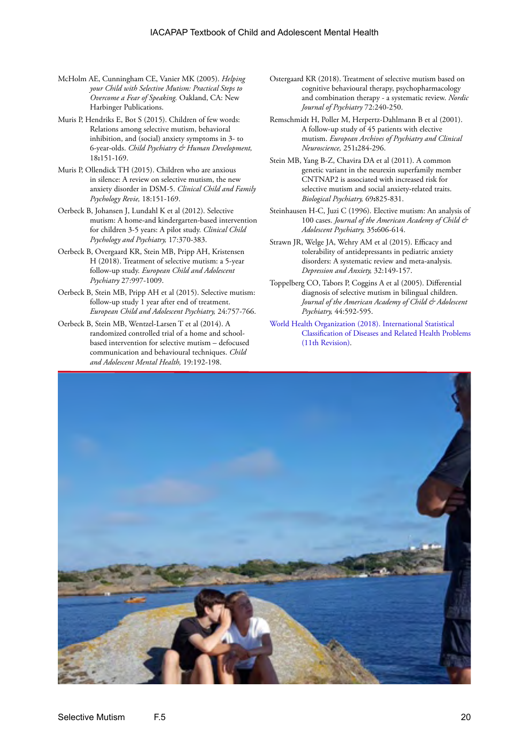- McHolm AE, Cunningham CE, Vanier MK (2005). *Helping your Child with Selective Mutism: Practical Steps to Overcome a Fear of Speaking.* Oakland, CA: New Harbinger Publications.
- Muris P, Hendriks E, Bot S (2015). Children of few words: Relations among selective mutism, behavioral inhibition, and (social) anxiety symptoms in 3- to 6-year-olds. *Child Psychiatry & Human Development,* 18**:**151-169.
- Muris P, Ollendick TH (2015). Children who are anxious in silence: A review on selective mutism, the new anxiety disorder in DSM-5. *Clinical Child and Family Psychology Revie,* 18:151-169.
- Oerbeck B, Johansen J, Lundahl K et al (2012). Selective mutism: A home-and kindergarten-based intervention for children 3-5 years: A pilot study. *Clinical Child Psychology and Psychiatry,* 17:370-383.
- Oerbeck B, Overgaard KR, Stein MB, Pripp AH, Kristensen H (2018). Treatment of selective mutism: a 5-year follow-up study. *European Child and Adolescent Psychiatry* 27:997-1009.
- Oerbeck B, Stein MB, Pripp AH et al (2015). Selective mutism: follow-up study 1 year after end of treatment. *European Child and Adolescent Psychiatry,* 24:757-766.
- Oerbeck B, Stein MB, Wentzel-Larsen T et al (2014). A randomized controlled trial of a home and schoolbased intervention for selective mutism – defocused communication and behavioural techniques. *Child and Adolescent Mental Health,* 19:192-198.
- Ostergaard KR (2018). Treatment of selective mutism based on cognitive behavioural therapy, psychopharmacology and combination therapy - a systematic review. *Nordic Journal of Psychiatry* 72:240-250.
- Remschmidt H, Poller M, Herpertz-Dahlmann B et al (2001). A follow-up study of 45 patients with elective mutism. *European Archives of Psychiatry and Clinical Neuroscience,* 251**:**284-296.
- Stein MB, Yang B-Z, Chavira DA et al (2011). A common genetic variant in the neurexin superfamily member CNTNAP2 is associated with increased risk for selective mutism and social anxiety-related traits. *Biological Psychiatry,* 69**:**825-831.
- Steinhausen H-C, Juzi C (1996). Elective mutism: An analysis of 100 cases. *Journal of the American Academy of Child & Adolescent Psychiatry,* 35**:**606-614.
- Strawn JR, Welge JA, Wehry AM et al (2015). Efficacy and tolerability of antidepressants in pediatric anxiety disorders: A systematic review and meta-analysis. *Depression and Anxiety,* 32:149-157.
- Toppelberg CO, Tabors P, Coggins A et al (2005). Differential diagnosis of selective mutism in bilingual children. *Journal of the American Academy of Child & Adolescent Psychiatry,* 44:592-595.
- [World Health Organization \(2018\). International Statistical](https://icd.who.int/browse11/l-m/en)  [Classification of Diseases and Related Health Problems](https://icd.who.int/browse11/l-m/en) [\(11th Revision\).](https://icd.who.int/browse11/l-m/en)

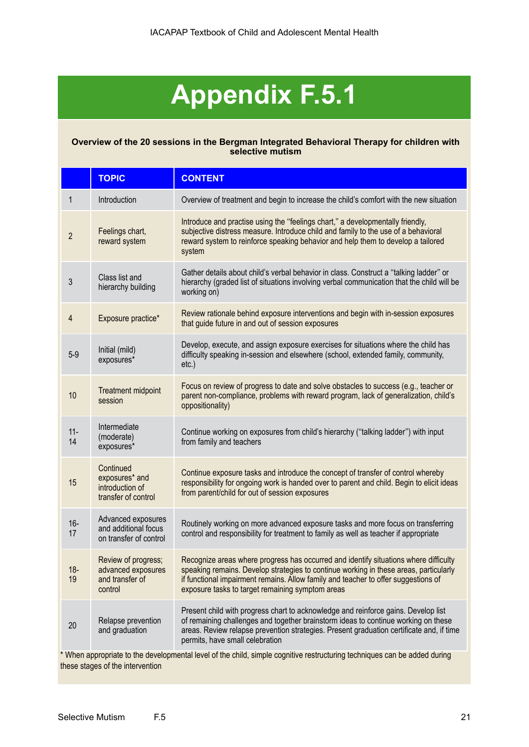## **Appendix F.5.1**

## **Overview of the 20 sessions in the Bergman Integrated Behavioral Therapy for children with selective mutism**

|                | <b>TOPIC</b>                                                            | <b>CONTENT</b>                                                                                                                                                                                                                                                                                                                                                                                                   |
|----------------|-------------------------------------------------------------------------|------------------------------------------------------------------------------------------------------------------------------------------------------------------------------------------------------------------------------------------------------------------------------------------------------------------------------------------------------------------------------------------------------------------|
| 1              | Introduction                                                            | Overview of treatment and begin to increase the child's comfort with the new situation                                                                                                                                                                                                                                                                                                                           |
| $\overline{2}$ | Feelings chart,<br>reward system                                        | Introduce and practise using the "feelings chart," a developmentally friendly,<br>subjective distress measure. Introduce child and family to the use of a behavioral<br>reward system to reinforce speaking behavior and help them to develop a tailored<br>system                                                                                                                                               |
| 3              | Class list and<br>hierarchy building                                    | Gather details about child's verbal behavior in class. Construct a "talking ladder" or<br>hierarchy (graded list of situations involving verbal communication that the child will be<br>working on)                                                                                                                                                                                                              |
| $\overline{4}$ | Exposure practice*                                                      | Review rationale behind exposure interventions and begin with in-session exposures<br>that guide future in and out of session exposures                                                                                                                                                                                                                                                                          |
| $5-9$          | Initial (mild)<br>exposures*                                            | Develop, execute, and assign exposure exercises for situations where the child has<br>difficulty speaking in-session and elsewhere (school, extended family, community,<br>$etc.$ )                                                                                                                                                                                                                              |
| 10             | Treatment midpoint<br>session                                           | Focus on review of progress to date and solve obstacles to success (e.g., teacher or<br>parent non-compliance, problems with reward program, lack of generalization, child's<br>oppositionality)                                                                                                                                                                                                                 |
| $11 -$<br>14   | Intermediate<br>(moderate)<br>exposures*                                | Continue working on exposures from child's hierarchy ("talking ladder") with input<br>from family and teachers                                                                                                                                                                                                                                                                                                   |
| 15             | Continued<br>exposures* and<br>introduction of<br>transfer of control   | Continue exposure tasks and introduce the concept of transfer of control whereby<br>responsibility for ongoing work is handed over to parent and child. Begin to elicit ideas<br>from parent/child for out of session exposures                                                                                                                                                                                  |
| $16-$<br>17    | Advanced exposures<br>and additional focus<br>on transfer of control    | Routinely working on more advanced exposure tasks and more focus on transferring<br>control and responsibility for treatment to family as well as teacher if appropriate                                                                                                                                                                                                                                         |
| $18 -$<br>19   | Review of progress;<br>advanced exposures<br>and transfer of<br>control | Recognize areas where progress has occurred and identify situations where difficulty<br>speaking remains. Develop strategies to continue working in these areas, particularly<br>if functional impairment remains. Allow family and teacher to offer suggestions of<br>exposure tasks to target remaining symptom areas                                                                                          |
| 20             | Relapse prevention<br>and graduation                                    | Present child with progress chart to acknowledge and reinforce gains. Develop list<br>of remaining challenges and together brainstorm ideas to continue working on these<br>areas. Review relapse prevention strategies. Present graduation certificate and, if time<br>permits, have small celebration<br>to the developmental lavel of the objet cimple cognitive restructuring techniques can be odded during |

\* When appropriate to the developmental level of the child, simple cognitive restructuring techniques can be added during these stages of the intervention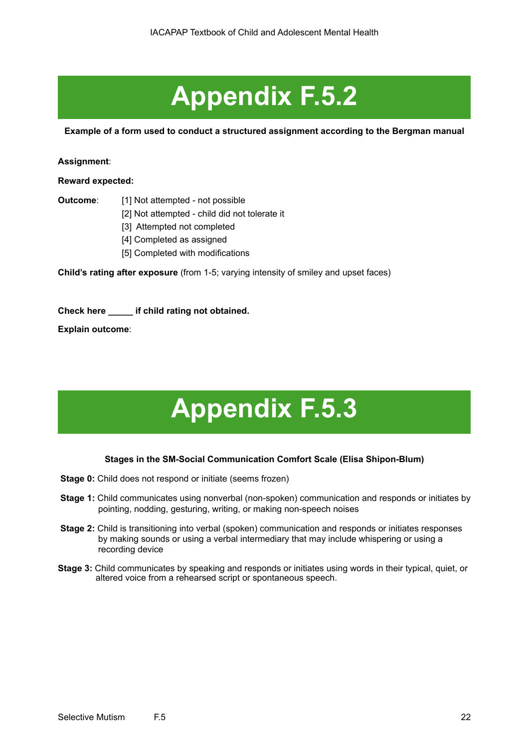## **Appendix F.5.2**

**Example of a form used to conduct a structured assignment according to the Bergman manual**

## **Assignment**:

**Reward expected:**

- **Outcome**: [1] Not attempted not possible
	- [2] Not attempted child did not tolerate it
	- [3] Attempted not completed
	- [4] Completed as assigned
	- [5] Completed with modifications

**Child's rating after exposure** (from 1-5; varying intensity of smiley and upset faces)

**Check here \_\_\_\_\_ if child rating not obtained.**

**Explain outcome**:

# **Appendix F.5.3**

## **Stages in the SM-Social Communication Comfort Scale (Elisa Shipon-Blum)**

- **Stage 0:** Child does not respond or initiate (seems frozen)
- **Stage 1:** Child communicates using nonverbal (non-spoken) communication and responds or initiates by pointing, nodding, gesturing, writing, or making non-speech noises
- **Stage 2:** Child is transitioning into verbal (spoken) communication and responds or initiates responses by making sounds or using a verbal intermediary that may include whispering or using a recording device
- **Stage 3:** Child communicates by speaking and responds or initiates using words in their typical, quiet, or altered voice from a rehearsed script or spontaneous speech.